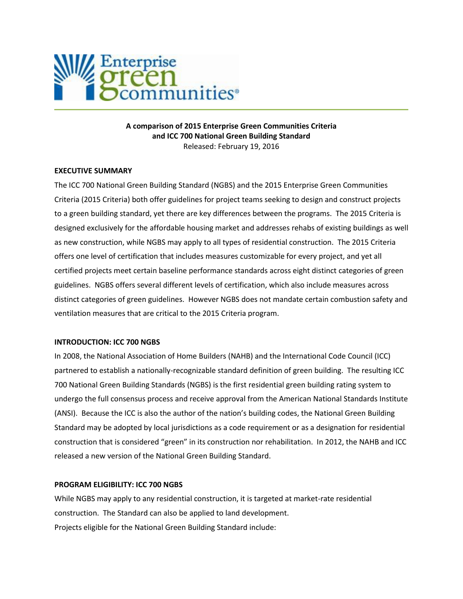

**A comparison of 2015 Enterprise Green Communities Criteria and ICC 700 National Green Building Standard** Released: February 19, 2016

#### **EXECUTIVE SUMMARY**

The ICC 700 National Green Building Standard (NGBS) and the 2015 Enterprise Green Communities Criteria (2015 Criteria) both offer guidelines for project teams seeking to design and construct projects to a green building standard, yet there are key differences between the programs. The 2015 Criteria is designed exclusively for the affordable housing market and addresses rehabs of existing buildings as well as new construction, while NGBS may apply to all types of residential construction. The 2015 Criteria offers one level of certification that includes measures customizable for every project, and yet all certified projects meet certain baseline performance standards across eight distinct categories of green guidelines. NGBS offers several different levels of certification, which also include measures across distinct categories of green guidelines. However NGBS does not mandate certain combustion safety and ventilation measures that are critical to the 2015 Criteria program.

### **INTRODUCTION: ICC 700 NGBS**

In 2008, the National Association of Home Builders (NAHB) and the International Code Council (ICC) partnered to establish a nationally-recognizable standard definition of green building. The resulting ICC 700 National Green Building Standards (NGBS) is the first residential green building rating system to undergo the full consensus process and receive approval from the American National Standards Institute (ANSI). Because the ICC is also the author of the nation's building codes, the National Green Building Standard may be adopted by local jurisdictions as a code requirement or as a designation for residential construction that is considered "green" in its construction nor rehabilitation. In 2012, the NAHB and ICC released a new version of the National Green Building Standard.

### **PROGRAM ELIGIBILITY: ICC 700 NGBS**

While NGBS may apply to any residential construction, it is targeted at market-rate residential construction. The Standard can also be applied to land development. Projects eligible for the National Green Building Standard include: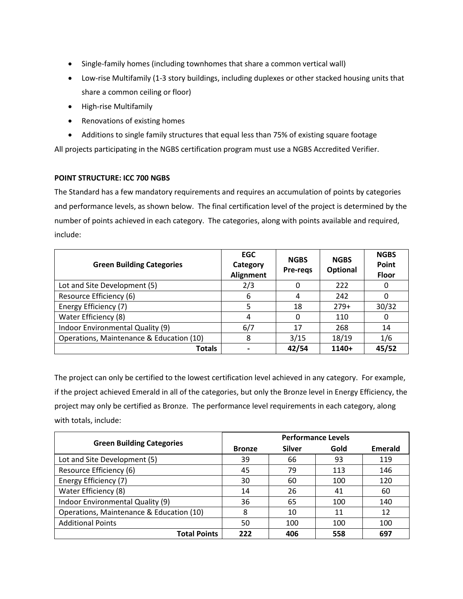- Single-family homes (including townhomes that share a common vertical wall)
- Low-rise Multifamily (1-3 story buildings, including duplexes or other stacked housing units that share a common ceiling or floor)
- High-rise Multifamily
- Renovations of existing homes
- Additions to single family structures that equal less than 75% of existing square footage

All projects participating in the NGBS certification program must use a NGBS Accredited Verifier.

# **POINT STRUCTURE: ICC 700 NGBS**

The Standard has a few mandatory requirements and requires an accumulation of points by categories and performance levels, as shown below. The final certification level of the project is determined by the number of points achieved in each category. The categories, along with points available and required, include:

| <b>Green Building Categories</b>         | <b>EGC</b><br>Category<br><b>Alignment</b> | <b>NGBS</b><br>Pre-regs | <b>NGBS</b><br>Optional | <b>NGBS</b><br>Point<br><b>Floor</b> |
|------------------------------------------|--------------------------------------------|-------------------------|-------------------------|--------------------------------------|
| Lot and Site Development (5)             | 2/3                                        |                         | 222                     | 0                                    |
| Resource Efficiency (6)                  | 6                                          |                         | 242                     | 0                                    |
| Energy Efficiency (7)                    | 5                                          | 18                      | $279+$                  | 30/32                                |
| Water Efficiency (8)                     | 4                                          |                         | 110                     | 0                                    |
| Indoor Environmental Quality (9)         | 6/7                                        | 17                      | 268                     | 14                                   |
| Operations, Maintenance & Education (10) | 8                                          | 3/15                    | 18/19                   | 1/6                                  |
| Totals                                   |                                            | 42/54                   | 1140+                   | 45/52                                |

The project can only be certified to the lowest certification level achieved in any category. For example, if the project achieved Emerald in all of the categories, but only the Bronze level in Energy Efficiency, the project may only be certified as Bronze. The performance level requirements in each category, along with totals, include:

| <b>Green Building Categories</b>         | <b>Performance Levels</b> |               |      |                |  |
|------------------------------------------|---------------------------|---------------|------|----------------|--|
|                                          | <b>Bronze</b>             | <b>Silver</b> | Gold | <b>Emerald</b> |  |
| Lot and Site Development (5)             | 39                        | 66            | 93   | 119            |  |
| Resource Efficiency (6)                  | 45                        | 79            | 113  | 146            |  |
| Energy Efficiency (7)                    | 30                        | 60            | 100  | 120            |  |
| Water Efficiency (8)                     | 14                        | 26            | 41   | 60             |  |
| Indoor Environmental Quality (9)         | 36                        | 65            | 100  | 140            |  |
| Operations, Maintenance & Education (10) | 8                         | 10            | 11   | 12             |  |
| <b>Additional Points</b>                 | 50                        | 100           | 100  | 100            |  |
| <b>Total Points</b>                      | 222                       | 406           | 558  | 697            |  |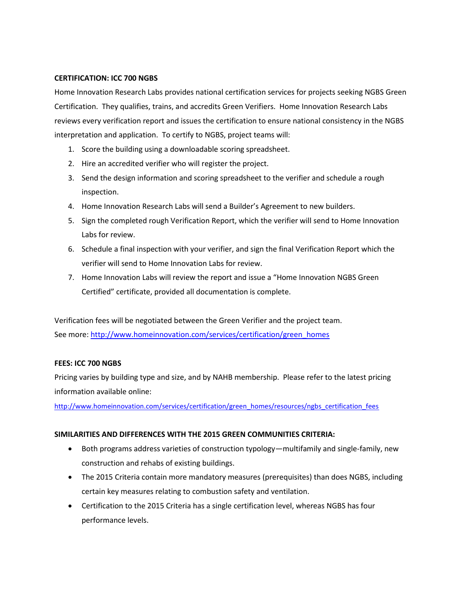### **CERTIFICATION: ICC 700 NGBS**

Home Innovation Research Labs provides national certification services for projects seeking NGBS Green Certification. They qualifies, trains, and accredits Green Verifiers. Home Innovation Research Labs reviews every verification report and issues the certification to ensure national consistency in the NGBS interpretation and application. To certify to NGBS, project teams will:

- 1. Score the building using a downloadable scoring spreadsheet.
- 2. Hire an accredited verifier who will register the project.
- 3. Send the design information and scoring spreadsheet to the verifier and schedule a rough inspection.
- 4. Home Innovation Research Labs will send a Builder's Agreement to new builders.
- 5. Sign the completed rough Verification Report, which the verifier will send to Home Innovation Labs for review.
- 6. Schedule a final inspection with your verifier, and sign the final Verification Report which the verifier will send to Home Innovation Labs for review.
- 7. Home Innovation Labs will review the report and issue a "Home Innovation NGBS Green Certified" certificate, provided all documentation is complete.

Verification fees will be negotiated between the Green Verifier and the project team. See more: [http://www.homeinnovation.com/services/certification/green\\_homes](http://www.homeinnovation.com/services/certification/green_homes)

# **FEES: ICC 700 NGBS**

Pricing varies by building type and size, and by NAHB membership. Please refer to the latest pricing information available online:

[http://www.homeinnovation.com/services/certification/green\\_homes/resources/ngbs\\_certification\\_fees](http://www.homeinnovation.com/services/certification/green_homes/resources/ngbs_certification_fees)

# **SIMILARITIES AND DIFFERENCES WITH THE 2015 GREEN COMMUNITIES CRITERIA:**

- Both programs address varieties of construction typology—multifamily and single-family, new construction and rehabs of existing buildings.
- The 2015 Criteria contain more mandatory measures (prerequisites) than does NGBS, including certain key measures relating to combustion safety and ventilation.
- Certification to the 2015 Criteria has a single certification level, whereas NGBS has four performance levels.